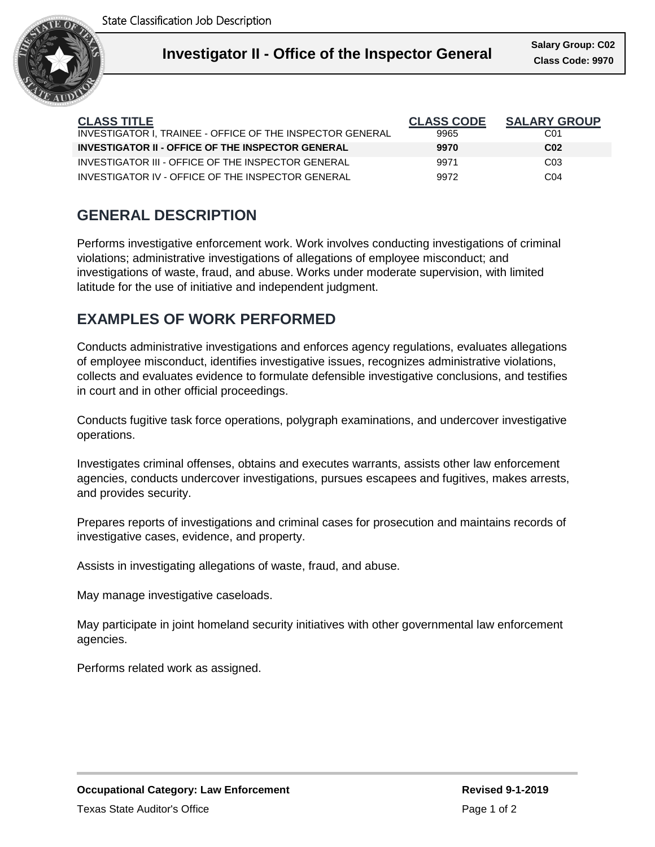

Ι

| <b>CLASS TITLE</b>                                        | <b>CLASS CODE</b> | <b>SALARY GROUP</b> |
|-----------------------------------------------------------|-------------------|---------------------|
| INVESTIGATOR I. TRAINEE - OFFICE OF THE INSPECTOR GENERAL | 9965              | C01                 |
| <b>INVESTIGATOR II - OFFICE OF THE INSPECTOR GENERAL</b>  | 9970              | C <sub>02</sub>     |
| INVESTIGATOR III - OFFICE OF THE INSPECTOR GENERAL        | 9971              | CO <sub>3</sub>     |
| INVESTIGATOR IV - OFFICE OF THE INSPECTOR GENERAL         | 9972              | C04                 |

# **GENERAL DESCRIPTION**

Performs investigative enforcement work. Work involves conducting investigations of criminal violations; administrative investigations of allegations of employee misconduct; and investigations of waste, fraud, and abuse. Works under moderate supervision, with limited latitude for the use of initiative and independent judgment.

# **EXAMPLES OF WORK PERFORMED**

Conducts administrative investigations and enforces agency regulations, evaluates allegations of employee misconduct, identifies investigative issues, recognizes administrative violations, collects and evaluates evidence to formulate defensible investigative conclusions, and testifies in court and in other official proceedings.

Conducts fugitive task force operations, polygraph examinations, and undercover investigative operations.

Investigates criminal offenses, obtains and executes warrants, assists other law enforcement agencies, conducts undercover investigations, pursues escapees and fugitives, makes arrests, and provides security.

Prepares reports of investigations and criminal cases for prosecution and maintains records of investigative cases, evidence, and property.

Assists in investigating allegations of waste, fraud, and abuse.

May manage investigative caseloads.

May participate in joint homeland security initiatives with other governmental law enforcement agencies.

Performs related work as assigned.